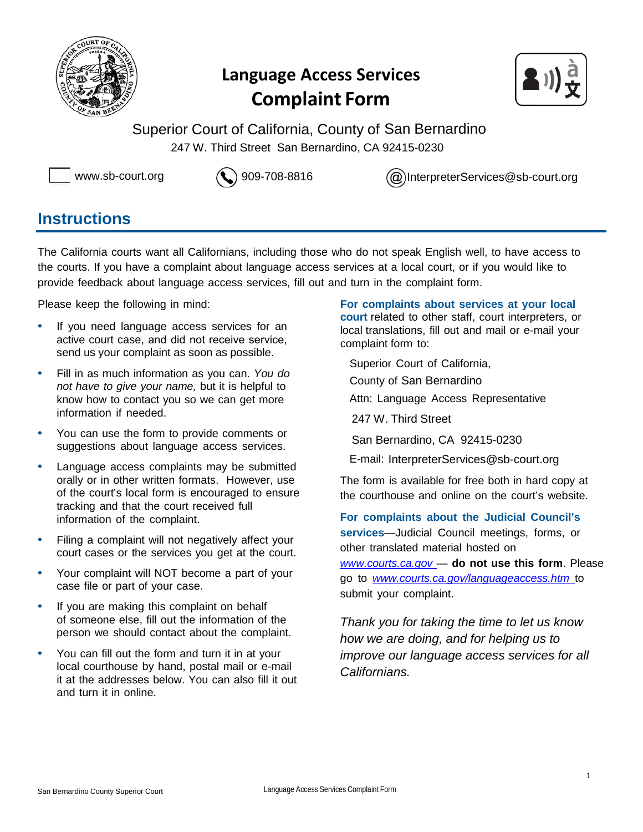

## **Language Access Services Complaint Form**



Superior Court of California, County of San Bernardino 247 W. Third Street San Bernardino, CA 92415-0230



[www.sb-court.org](http://www.sb-court.org/) 909-708-8816 [InterpreterServices@sb-court.org](mailto:InterpreterServices@sb-court.org)

### **Instructions**

The California courts want all Californians, including those who do not speak English well, to have access to the courts. If you have a complaint about language access services at a local court, or if you would like to provide feedback about language access services, fill out and turn in the complaint form.

Please keep the following in mind:

- If you need language access services for an active court case, and did not receive service, send us your complaint as soon as possible.
- Fill in as much information as you can. *You do not have to give your name,* but it is helpful to know how to contact you so we can get more information if needed.
- You can use the form to provide comments or suggestions about language access services.
- Language access complaints may be submitted orally or in other written formats. However, use of the court's local form is encouraged to ensure tracking and that the court received full information of the complaint.
- Filing a complaint will not negatively affect your court cases or the services you get at the court.
- Your complaint will NOT become a part of your case file or part of your case.
- If you are making this complaint on behalf of someone else, fill out the information of the person we should contact about the complaint.
- You can fill out the form and turn it in at your local courthouse by hand, postal mail or e-mail it at the addresses below. You can also fill it out and turn it in online.

**For complaints about services at your local court** related to other staff, court interpreters, or local translations, fill out and mail or e-mail your complaint form to:

Superior Court of California,

- County of San Bernardino
- Attn: Language Access Representative
- 247 W. Third Street
- San Bernardino, CA 92415-0230
- E-mail: [InterpreterServices@sb-court.org](mailto:InterpreterServices@sb-court.org)

The form is available for free both in hard copy at the courthouse and online on the court's website.

**For complaints about the Judicial Council's services**—Judicial Council meetings, forms, or other translated material hosted on *[www.courts.ca.gov](http://www.courts.ca.gov/)* — **do not use this form**. Please go to *[www.courts.ca.gov/languageaccess.htm](http://www.courts.ca.gov/languageaccess.htm)* to submit your complaint.

*Thank you for taking the time to let us know how we are doing, and for helping us to improve our language access services for all Californians.*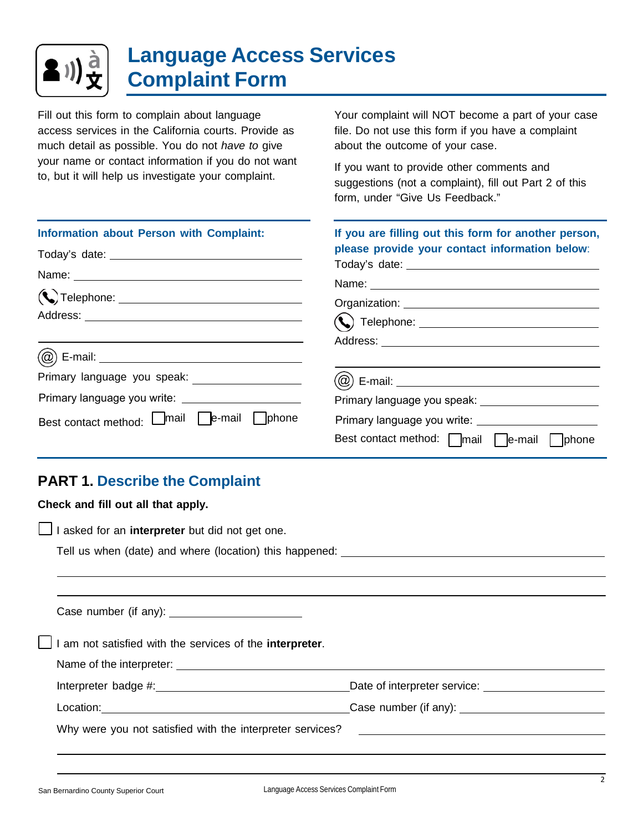

# **Language Access Services Complaint Form**

Fill out this form to complain about language access services in the California courts. Provide as much detail as possible. You do not *have to* give your name or contact information if you do not want to, but it will help us investigate your complaint.

Your complaint will NOT become a part of your case file. Do not use this form if you have a complaint about the outcome of your case.

If you want to provide other comments and suggestions (not a complaint), fill out Part 2 of this form, under "Give Us Feedback."

| Information about Person with Complaint:                  | If you are filling out this form for another person,        |
|-----------------------------------------------------------|-------------------------------------------------------------|
|                                                           | please provide your contact information below:              |
|                                                           |                                                             |
|                                                           |                                                             |
|                                                           |                                                             |
|                                                           |                                                             |
|                                                           |                                                             |
| Primary language you speak: ____________________          | (@) E-mail: ___________________________________             |
|                                                           |                                                             |
| Best contact method: <b>I</b> mail <b>D</b> e-mail Dphone |                                                             |
|                                                           | Best contact method: $\Box$ mail $\Box$ e-mail $\Box$ phone |

### **PART 1. Describe the Complaint**

| Check and fill out all that apply.                                                  |  |
|-------------------------------------------------------------------------------------|--|
| I asked for an interpreter but did not get one.                                     |  |
| Tell us when (date) and where (location) this happened: ________________________    |  |
|                                                                                     |  |
|                                                                                     |  |
| $\Box$ I am not satisfied with the services of the <b>interpreter</b> .             |  |
|                                                                                     |  |
|                                                                                     |  |
| Location: <u>contraction:</u> Case number (if any): <u>contraction</u> contraction: |  |
|                                                                                     |  |
|                                                                                     |  |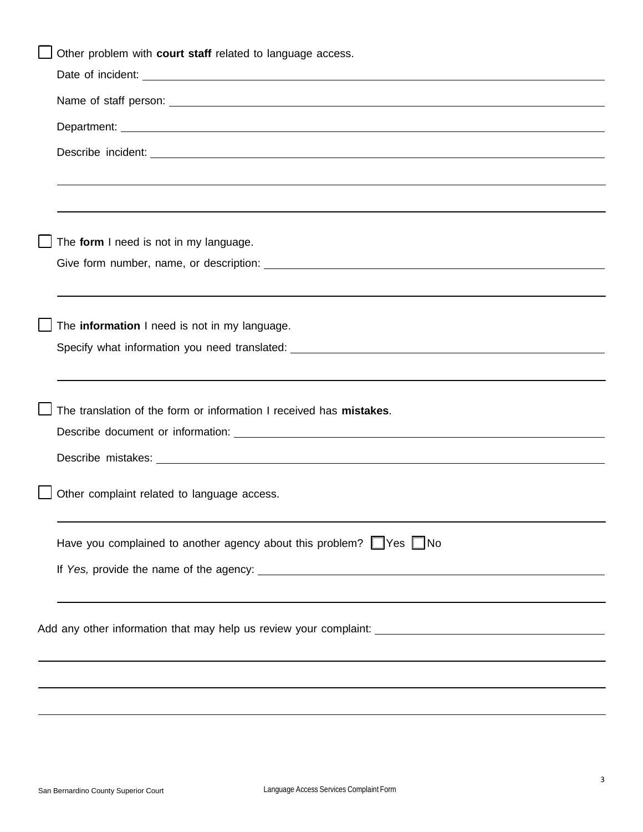| Other problem with court staff related to language access.                                                             |
|------------------------------------------------------------------------------------------------------------------------|
| Date of incident: <u>example and increased</u> and increase and increase and increase and increase and increase and in |
|                                                                                                                        |
|                                                                                                                        |
|                                                                                                                        |
|                                                                                                                        |
|                                                                                                                        |
| The form I need is not in my language.                                                                                 |
|                                                                                                                        |
|                                                                                                                        |
| The information I need is not in my language.                                                                          |
|                                                                                                                        |
|                                                                                                                        |
|                                                                                                                        |
| The translation of the form or information I received has mistakes.                                                    |
|                                                                                                                        |
|                                                                                                                        |
|                                                                                                                        |
| Other complaint related to language access.                                                                            |
| Have you complained to another agency about this problem? $\Box$ Yes $\Box$ No                                         |
|                                                                                                                        |
|                                                                                                                        |
|                                                                                                                        |
|                                                                                                                        |
|                                                                                                                        |
|                                                                                                                        |
|                                                                                                                        |